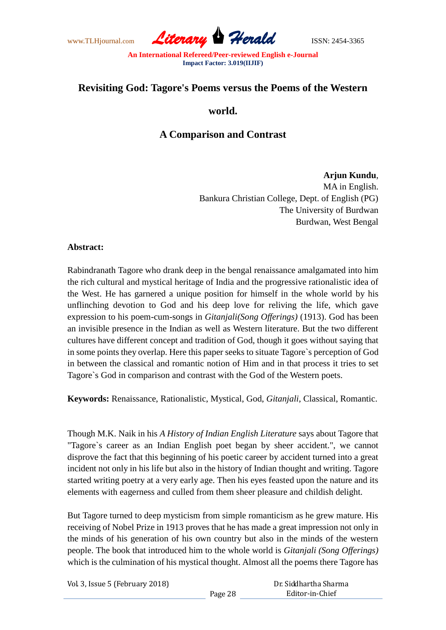www.TLHjournal.com *Literary Herald*ISSN: 2454-3365

## **Revisiting God: Tagore's Poems versus the Poems of the Western**

### **world.**

# **A Comparison and Contrast**

# **Arjun Kundu**, MA in English.

Bankura Christian College, Dept. of English (PG) The University of Burdwan Burdwan, West Bengal

#### **Abstract:**

Rabindranath Tagore who drank deep in the bengal renaissance amalgamated into him the rich cultural and mystical heritage of India and the progressive rationalistic idea of the West. He has garnered a unique position for himself in the whole world by his unflinching devotion to God and his deep love for reliving the life, which gave expression to his poem-cum-songs in *Gitanjali(Song Offerings)* (1913). God has been an invisible presence in the Indian as well as Western literature. But the two different cultures have different concept and tradition of God, though it goes without saying that in some points they overlap. Here this paper seeks to situate Tagore`s perception of God in between the classical and romantic notion of Him and in that process it tries to set Tagore`s God in comparison and contrast with the God of the Western poets.

**Keywords:** Renaissance, Rationalistic, Mystical, God, *Gitanjali*, Classical, Romantic.

Though M.K. Naik in his *A History of Indian English Literature* says about Tagore that "Tagore`s career as an Indian English poet began by sheer accident.", we cannot disprove the fact that this beginning of his poetic career by accident turned into a great incident not only in his life but also in the history of Indian thought and writing. Tagore started writing poetry at a very early age. Then his eyes feasted upon the nature and its elements with eagerness and culled from them sheer pleasure and childish delight.

But Tagore turned to deep mysticism from simple romanticism as he grew mature. His receiving of Nobel Prize in 1913 proves that he has made a great impression not only in the minds of his generation of his own country but also in the minds of the western people. The book that introduced him to the whole world is *Gitanjali (Song Offerings)* which is the culmination of his mystical thought. Almost all the poems there Tagore has

Page 28

Vol. 3, Issue 5 (February 2018)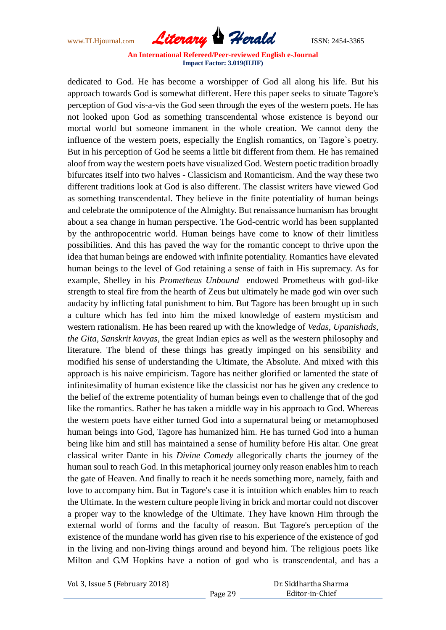www.TLHjournal.com *Literary Herald*ISSN: 2454-3365

dedicated to God. He has become a worshipper of God all along his life. But his approach towards God is somewhat different. Here this paper seeks to situate Tagore's perception of God vis-a-vis the God seen through the eyes of the western poets. He has not looked upon God as something transcendental whose existence is beyond our mortal world but someone immanent in the whole creation. We cannot deny the influence of the western poets, especially the English romantics, on Tagore`s poetry. But in his perception of God he seems a little bit different from them. He has remained aloof from way the western poets have visualized God. Western poetic tradition broadly bifurcates itself into two halves - Classicism and Romanticism. And the way these two different traditions look at God is also different. The classist writers have viewed God as something transcendental. They believe in the finite potentiality of human beings and celebrate the omnipotence of the Almighty. But renaissance humanism has brought about a sea change in human perspective. The God-centric world has been supplanted by the anthropocentric world. Human beings have come to know of their limitless possibilities. And this has paved the way for the romantic concept to thrive upon the idea that human beings are endowed with infinite potentiality. Romantics have elevated human beings to the level of God retaining a sense of faith in His supremacy. As for example, Shelley in his *Prometheus Unbound* endowed Prometheus with god-like strength to steal fire from the hearth of Zeus but ultimately he made god win over such audacity by inflicting fatal punishment to him. But Tagore has been brought up in such a culture which has fed into him the mixed knowledge of eastern mysticism and western rationalism. He has been reared up with the knowledge of *Vedas, Upanishads, the Gita, Sanskrit kavyas*, the great Indian epics as well as the western philosophy and literature. The blend of these things has greatly impinged on his sensibility and modified his sense of understanding the Ultimate, the Absolute. And mixed with this approach is his naive empiricism. Tagore has neither glorified or lamented the state of infinitesimality of human existence like the classicist nor has he given any credence to the belief of the extreme potentiality of human beings even to challenge that of the god like the romantics. Rather he has taken a middle way in his approach to God. Whereas the western poets have either turned God into a supernatural being or metamophosed human beings into God, Tagore has humanized him. He has turned God into a human being like him and still has maintained a sense of humility before His altar. One great classical writer Dante in his *Divine Comedy* allegorically charts the journey of the human soul to reach God. In this metaphorical journey only reason enables him to reach the gate of Heaven. And finally to reach it he needs something more, namely, faith and love to accompany him. But in Tagore's case it is intuition which enables him to reach the Ultimate. In the western culture people living in brick and mortar could not discover a proper way to the knowledge of the Ultimate. They have known Him through the external world of forms and the faculty of reason. But Tagore's perception of the existence of the mundane world has given rise to his experience of the existence of god in the living and non-living things around and beyond him. The religious poets like Milton and G.M Hopkins have a notion of god who is transcendental, and has a

Vol. 3, Issue 5 (February 2018)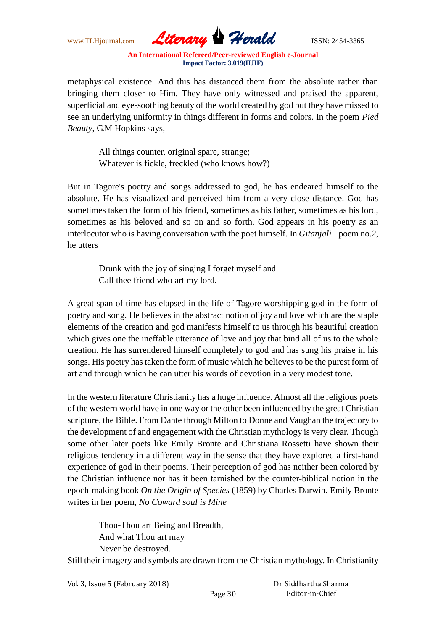www.TLHjournal.com *Literary Herald*ISSN: 2454-3365

metaphysical existence. And this has distanced them from the absolute rather than bringing them closer to Him. They have only witnessed and praised the apparent, superficial and eye-soothing beauty of the world created by god but they have missed to see an underlying uniformity in things different in forms and colors. In the poem *Pied Beauty*, G.M Hopkins says,

All things counter, original spare, strange; Whatever is fickle, freckled (who knows how?)

But in Tagore's poetry and songs addressed to god, he has endeared himself to the absolute. He has visualized and perceived him from a very close distance. God has sometimes taken the form of his friend, sometimes as his father, sometimes as his lord, sometimes as his beloved and so on and so forth. God appears in his poetry as an interlocutor who is having conversation with the poet himself. In *Gitanjali* poem no.2, he utters

> Drunk with the joy of singing I forget myself and Call thee friend who art my lord.

A great span of time has elapsed in the life of Tagore worshipping god in the form of poetry and song. He believes in the abstract notion of joy and love which are the staple elements of the creation and god manifests himself to us through his beautiful creation which gives one the ineffable utterance of love and joy that bind all of us to the whole creation. He has surrendered himself completely to god and has sung his praise in his songs. His poetry has taken the form of music which he believes to be the purest form of art and through which he can utter his words of devotion in a very modest tone.

In the western literature Christianity has a huge influence. Almost all the religious poets of the western world have in one way or the other been influenced by the great Christian scripture, the Bible. From Dante through Milton to Donne and Vaughan the trajectory to the development of and engagement with the Christian mythology is very clear. Though some other later poets like Emily Bronte and Christiana Rossetti have shown their religious tendency in a different way in the sense that they have explored a first-hand experience of god in their poems. Their perception of god has neither been colored by the Christian influence nor has it been tarnished by the counter-biblical notion in the epoch-making book *On the Origin of Species* (1859) by Charles Darwin. Emily Bronte writes in her poem, *No Coward soul is Mine*

Thou-Thou art Being and Breadth, And what Thou art may Never be destroyed.

Still their imagery and symbols are drawn from the Christian mythology. In Christianity

Vol. 3, Issue 5 (February 2018)

Dr. Siddhartha Sharma Editor-in-Chief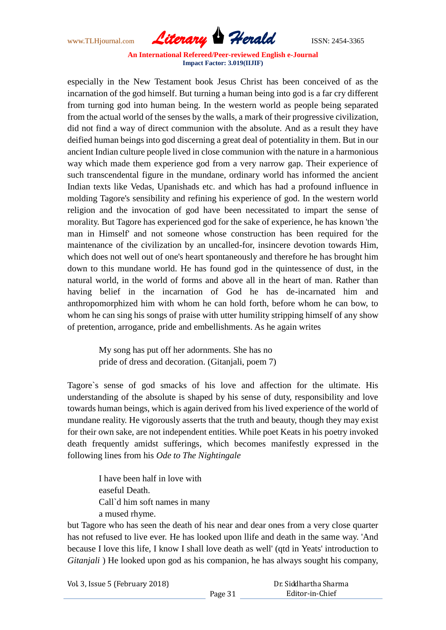www.TLHjournal.com *Literary Herald*ISSN: 2454-3365

especially in the New Testament book Jesus Christ has been conceived of as the incarnation of the god himself. But turning a human being into god is a far cry different from turning god into human being. In the western world as people being separated from the actual world of the senses by the walls, a mark of their progressive civilization, did not find a way of direct communion with the absolute. And as a result they have deified human beings into god discerning a great deal of potentiality in them. But in our ancient Indian culture people lived in close communion with the nature in a harmonious way which made them experience god from a very narrow gap. Their experience of such transcendental figure in the mundane, ordinary world has informed the ancient Indian texts like Vedas, Upanishads etc. and which has had a profound influence in molding Tagore's sensibility and refining his experience of god. In the western world religion and the invocation of god have been necessitated to impart the sense of morality. But Tagore has experienced god for the sake of experience, he has known 'the man in Himself' and not someone whose construction has been required for the maintenance of the civilization by an uncalled-for, insincere devotion towards Him, which does not well out of one's heart spontaneously and therefore he has brought him down to this mundane world. He has found god in the quintessence of dust, in the natural world, in the world of forms and above all in the heart of man. Rather than having belief in the incarnation of God he has de-incarnated him and anthropomorphized him with whom he can hold forth, before whom he can bow, to whom he can sing his songs of praise with utter humility stripping himself of any show of pretention, arrogance, pride and embellishments. As he again writes

My song has put off her adornments. She has no pride of dress and decoration. (Gitanjali, poem 7)

Tagore`s sense of god smacks of his love and affection for the ultimate. His understanding of the absolute is shaped by his sense of duty, responsibility and love towards human beings, which is again derived from his lived experience of the world of mundane reality. He vigorously asserts that the truth and beauty, though they may exist for their own sake, are not independent entities. While poet Keats in his poetry invoked death frequently amidst sufferings, which becomes manifestly expressed in the following lines from his *Ode to The Nightingale*

> I have been half in love with easeful Death. Call`d him soft names in many a mused rhyme.

but Tagore who has seen the death of his near and dear ones from a very close quarter has not refused to live ever. He has looked upon llife and death in the same way. 'And because I love this life, I know I shall love death as well' (qtd in Yeats' introduction to *Gitanjali* ) He looked upon god as his companion, he has always sought his company,

Vol. 3, Issue 5 (February 2018)

Dr. Siddhartha Sharma Editor-in-Chief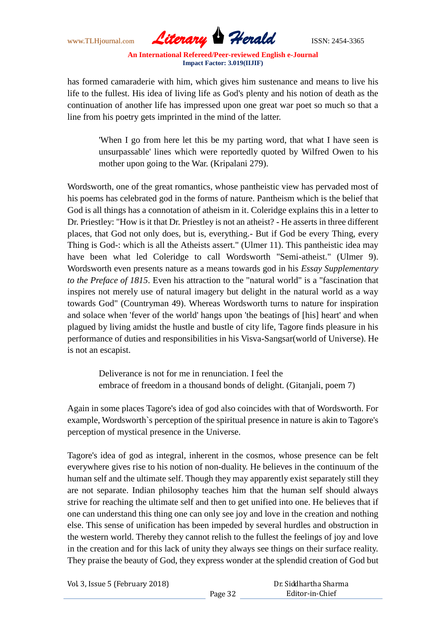www.TLHjournal.com *Literary Herald*ISSN: 2454-3365

has formed camaraderie with him, which gives him sustenance and means to live his life to the fullest. His idea of living life as God's plenty and his notion of death as the continuation of another life has impressed upon one great war poet so much so that a line from his poetry gets imprinted in the mind of the latter.

'When I go from here let this be my parting word, that what I have seen is unsurpassable' lines which were reportedly quoted by Wilfred Owen to his mother upon going to the War. (Kripalani 279).

Wordsworth, one of the great romantics, whose pantheistic view has pervaded most of his poems has celebrated god in the forms of nature. Pantheism which is the belief that God is all things has a connotation of atheism in it. Coleridge explains this in a letter to Dr. Priestley: "How is it that Dr. Priestley is not an atheist? - He asserts in three different places, that God not only does, but is, everything.- But if God be every Thing, every Thing is God-: which is all the Atheists assert." (Ulmer 11). This pantheistic idea may have been what led Coleridge to call Wordsworth "Semi-atheist." (Ulmer 9). Wordsworth even presents nature as a means towards god in his *Essay Supplementary to the Preface of 1815*. Even his attraction to the "natural world" is a "fascination that inspires not merely use of natural imagery but delight in the natural world as a way towards God" (Countryman 49). Whereas Wordsworth turns to nature for inspiration and solace when 'fever of the world' hangs upon 'the beatings of [his] heart' and when plagued by living amidst the hustle and bustle of city life, Tagore finds pleasure in his performance of duties and responsibilities in his Visva-Sangsar(world of Universe). He is not an escapist.

Deliverance is not for me in renunciation. I feel the embrace of freedom in a thousand bonds of delight. (Gitanjali, poem 7)

Again in some places Tagore's idea of god also coincides with that of Wordsworth. For example, Wordsworth`s perception of the spiritual presence in nature is akin to Tagore's perception of mystical presence in the Universe.

Tagore's idea of god as integral, inherent in the cosmos, whose presence can be felt everywhere gives rise to his notion of non-duality. He believes in the continuum of the human self and the ultimate self. Though they may apparently exist separately still they are not separate. Indian philosophy teaches him that the human self should always strive for reaching the ultimate self and then to get unified into one. He believes that if one can understand this thing one can only see joy and love in the creation and nothing else. This sense of unification has been impeded by several hurdles and obstruction in the western world. Thereby they cannot relish to the fullest the feelings of joy and love in the creation and for this lack of unity they always see things on their surface reality. They praise the beauty of God, they express wonder at the splendid creation of God but

Vol. 3, Issue 5 (February 2018)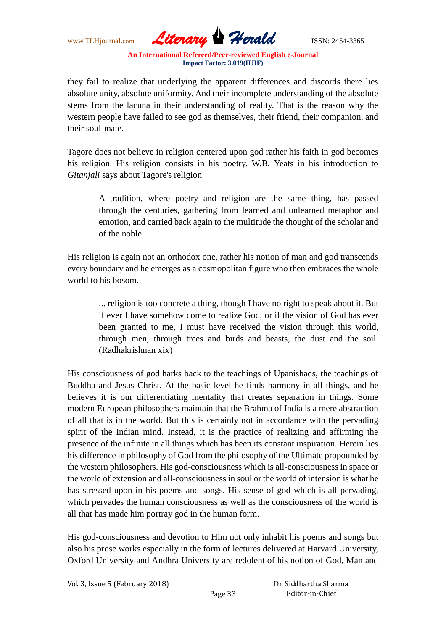www.TLHjournal.com *Literary Herald*ISSN: 2454-3365

they fail to realize that underlying the apparent differences and discords there lies absolute unity, absolute uniformity. And their incomplete understanding of the absolute stems from the lacuna in their understanding of reality. That is the reason why the western people have failed to see god as themselves, their friend, their companion, and their soul-mate.

Tagore does not believe in religion centered upon god rather his faith in god becomes his religion. His religion consists in his poetry. W.B. Yeats in his introduction to *Gitanjali* says about Tagore's religion

A tradition, where poetry and religion are the same thing, has passed through the centuries, gathering from learned and unlearned metaphor and emotion, and carried back again to the multitude the thought of the scholar and of the noble.

His religion is again not an orthodox one, rather his notion of man and god transcends every boundary and he emerges as a cosmopolitan figure who then embraces the whole world to his bosom.

> ... religion is too concrete a thing, though I have no right to speak about it. But if ever I have somehow come to realize God, or if the vision of God has ever been granted to me, I must have received the vision through this world, through men, through trees and birds and beasts, the dust and the soil. (Radhakrishnan xix)

His consciousness of god harks back to the teachings of Upanishads, the teachings of Buddha and Jesus Christ. At the basic level he finds harmony in all things, and he believes it is our differentiating mentality that creates separation in things. Some modern European philosophers maintain that the Brahma of India is a mere abstraction of all that is in the world. But this is certainly not in accordance with the pervading spirit of the Indian mind. Instead, it is the practice of realizing and affirming the presence of the infinite in all things which has been its constant inspiration. Herein lies his difference in philosophy of God from the philosophy of the Ultimate propounded by the western philosophers. His god-consciousness which is all-consciousness in space or the world of extension and all-consciousness in soul or the world of intension is what he has stressed upon in his poems and songs. His sense of god which is all-pervading, which pervades the human consciousness as well as the consciousness of the world is all that has made him portray god in the human form.

His god-consciousness and devotion to Him not only inhabit his poems and songs but also his prose works especially in the form of lectures delivered at Harvard University, Oxford University and Andhra University are redolent of his notion of God, Man and

| Vol. 3, Issue 5 (February 2018) |         | Dr. Siddhartha Sharma |  |
|---------------------------------|---------|-----------------------|--|
|                                 | Page 33 | Editor-in-Chief       |  |